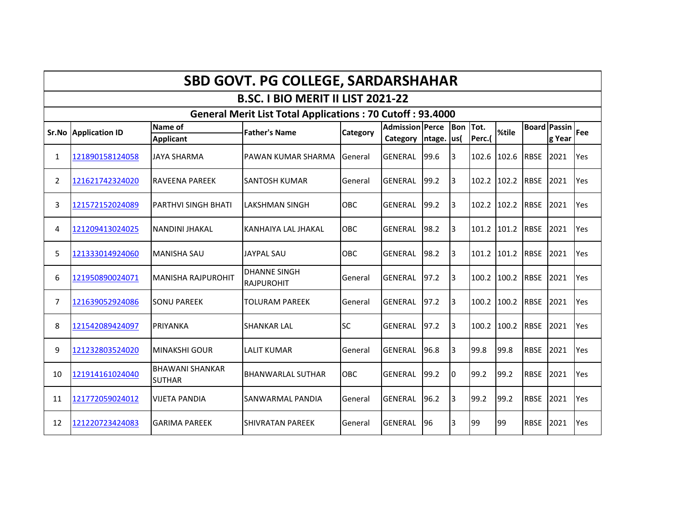|                | <b>SBD GOVT. PG COLLEGE, SARDARSHAHAR</b> |                                         |                                                                  |                 |                                    |        |                    |                |             |             |                               |     |
|----------------|-------------------------------------------|-----------------------------------------|------------------------------------------------------------------|-----------------|------------------------------------|--------|--------------------|----------------|-------------|-------------|-------------------------------|-----|
|                |                                           |                                         | B.SC. I BIO MERIT II LIST 2021-22                                |                 |                                    |        |                    |                |             |             |                               |     |
|                |                                           |                                         | <b>General Merit List Total Applications: 70 Cutoff: 93.4000</b> |                 |                                    |        |                    |                |             |             |                               |     |
|                | <b>Sr.No Application ID</b>               | Name of<br><b>Applicant</b>             | <b>Father's Name</b>                                             | <b>Category</b> | <b>Admission Perce</b><br>Category | ntage. | <b>Bon</b><br>lus( | Tot.<br>Perc.( | %tile       |             | <b>Board Passin</b><br>g Year | Fee |
| 1              | 121890158124058                           | <b>JAYA SHARMA</b>                      | PAWAN KUMAR SHARMA                                               | <b>General</b>  | <b>GENERAL</b>                     | 99.6   | l3                 | 102.6          | 102.6       | <b>RBSE</b> | 2021                          | Yes |
| $\overline{2}$ | 121621742324020                           | <b>RAVEENA PAREEK</b>                   | ISANTOSH KUMAR                                                   | General         | <b>GENERAL</b>                     | 99.2   | l3                 |                | 102.2 102.2 | <b>RBSE</b> | 2021                          | Yes |
| 3              | 121572152024089                           | <b>PARTHVI SINGH BHATI</b>              | <b>LAKSHMAN SINGH</b>                                            | OBC             | <b>GENERAL</b>                     | 99.2   | 3                  |                | 102.2 102.2 | <b>RBSE</b> | 2021                          | Yes |
| 4              | 121209413024025                           | <b>NANDINI JHAKAL</b>                   | KANHAIYA LAL JHAKAL                                              | <b>OBC</b>      | <b>GENERAL</b>                     | 98.2   | l3                 |                | 101.2 101.2 | <b>RBSE</b> | 2021                          | Yes |
| 5              | 121333014924060                           | <b>MANISHA SAU</b>                      | <b>JAYPAL SAU</b>                                                | <b>OBC</b>      | <b>GENERAL</b>                     | 98.2   | 3                  |                | 101.2 101.2 | <b>RBSE</b> | 2021                          | Yes |
| 6              | 121950890024071                           | <b>MANISHA RAJPUROHIT</b>               | <b>DHANNE SINGH</b><br><b>RAJPUROHIT</b>                         | General         | <b>GENERAL</b>                     | 97.2   | 3                  | 100.2          | 100.2       | <b>RBSE</b> | 2021                          | Yes |
| 7              | 121639052924086                           | <b>SONU PAREEK</b>                      | <b>TOLURAM PAREEK</b>                                            | lGeneral        | <b>GENERAL</b>                     | 97.2   | 3                  | 100.2          | 100.2       | <b>RBSE</b> | 2021                          | Yes |
| 8              | 121542089424097                           | PRIYANKA                                | <b>SHANKAR LAL</b>                                               | <b>SC</b>       | <b>GENERAL</b>                     | 97.2   | 3                  | 100.2          | 100.2       | <b>RBSE</b> | 2021                          | Yes |
| 9              | 121232803524020                           | <b>MINAKSHI GOUR</b>                    | <b>LALIT KUMAR</b>                                               | General         | <b>GENERAL</b>                     | 96.8   | 3                  | 99.8           | 99.8        | <b>RBSE</b> | 2021                          | Yes |
| 10             | 121914161024040                           | <b>BHAWANI SHANKAR</b><br><b>SUTHAR</b> | <b>BHANWARLAL SUTHAR</b>                                         | <b>OBC</b>      | <b>GENERAL</b>                     | 99.2   | l0                 | 99.2           | 99.2        | <b>RBSE</b> | 2021                          | Yes |
| 11             | 121772059024012                           | <b>VIJETA PANDIA</b>                    | SANWARMAL PANDIA                                                 | General         | <b>GENERAL</b>                     | 96.2   | l3                 | 99.2           | 99.2        | <b>RBSE</b> | 2021                          | Yes |
| 12             | 121220723424083                           | <b>GARIMA PAREEK</b>                    | <b>SHIVRATAN PAREEK</b>                                          | General         | <b>GENERAL</b>                     | 196    | 3                  | 99             | 99          | <b>RBSE</b> | 2021                          | Yes |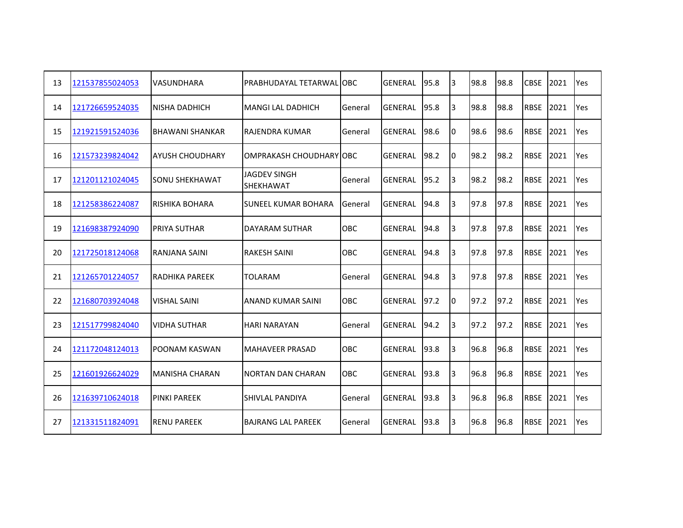| 13 | 121537855024053 | <b>VASUNDHARA</b>      | PRABHUDAYAL TETARWAL OBC                |            | <b>GENERAL</b> | 95.8 | 3  | 98.8 | 98.8 | <b>CBSE</b> | 2021 | Yes |
|----|-----------------|------------------------|-----------------------------------------|------------|----------------|------|----|------|------|-------------|------|-----|
| 14 | 121726659524035 | <b>NISHA DADHICH</b>   | <b>MANGI LAL DADHICH</b>                | General    | <b>GENERAL</b> | 95.8 | 3  | 98.8 | 98.8 | <b>RBSE</b> | 2021 | Yes |
| 15 | 121921591524036 | <b>BHAWANI SHANKAR</b> | <b>RAJENDRA KUMAR</b>                   | General    | <b>GENERAL</b> | 98.6 | Iо | 98.6 | 98.6 | <b>RBSE</b> | 2021 | Yes |
| 16 | 121573239824042 | <b>AYUSH CHOUDHARY</b> | OMPRAKASH CHOUDHARY OBC                 |            | <b>GENERAL</b> | 98.2 | Iо | 98.2 | 98.2 | <b>RBSE</b> | 2021 | Yes |
| 17 | 121201121024045 | <b>SONU SHEKHAWAT</b>  | <b>JAGDEV SINGH</b><br><b>SHEKHAWAT</b> | General    | <b>GENERAL</b> | 95.2 | 3  | 98.2 | 98.2 | <b>RBSE</b> | 2021 | Yes |
| 18 | 121258386224087 | IRISHIKA BOHARA        | <b>SUNEEL KUMAR BOHARA</b>              | General    | <b>GENERAL</b> | 94.8 | 3  | 97.8 | 97.8 | <b>RBSE</b> | 2021 | Yes |
| 19 | 121698387924090 | IPRIYA SUTHAR          | DAYARAM SUTHAR                          | <b>OBC</b> | <b>GENERAL</b> | 94.8 | 3  | 97.8 | 97.8 | <b>RBSE</b> | 2021 | Yes |
| 20 | 121725018124068 | RANJANA SAINI          | <b>RAKESH SAINI</b>                     | <b>OBC</b> | <b>GENERAL</b> | 94.8 | 3  | 97.8 | 97.8 | <b>RBSE</b> | 2021 | Yes |
| 21 | 121265701224057 | IRADHIKA PAREEK        | TOLARAM                                 | General    | <b>GENERAL</b> | 94.8 | 3  | 97.8 | 97.8 | <b>RBSE</b> | 2021 | Yes |
| 22 | 121680703924048 | <b>VISHAL SAINI</b>    | <b>ANAND KUMAR SAINI</b>                | <b>OBC</b> | <b>GENERAL</b> | 97.2 | IО | 97.2 | 97.2 | <b>RBSE</b> | 2021 | Yes |
| 23 | 121517799824040 | <b>VIDHA SUTHAR</b>    | HARI NARAYAN                            | General    | GENERAL        | 94.2 | 3  | 97.2 | 97.2 | <b>RBSE</b> | 2021 | Yes |
| 24 | 121172048124013 | <b>POONAM KASWAN</b>   | <b>MAHAVEER PRASAD</b>                  | <b>OBC</b> | <b>GENERAL</b> | 93.8 | 3  | 96.8 | 96.8 | <b>RBSE</b> | 2021 | Yes |
| 25 | 121601926624029 | <b>MANISHA CHARAN</b>  | <b>NORTAN DAN CHARAN</b>                | <b>OBC</b> | <b>GENERAL</b> | 93.8 | 3  | 96.8 | 96.8 | <b>RBSE</b> | 2021 | Yes |
| 26 | 121639710624018 | <b>PINKI PAREEK</b>    | <b>SHIVLAL PANDIYA</b>                  | General    | <b>GENERAL</b> | 93.8 | 3  | 96.8 | 96.8 | <b>RBSE</b> | 2021 | Yes |
| 27 | 121331511824091 | <b>RENU PAREEK</b>     | <b>BAJRANG LAL PAREEK</b>               | General    | <b>GENERAL</b> | 93.8 | l3 | 96.8 | 96.8 | <b>RBSE</b> | 2021 | Yes |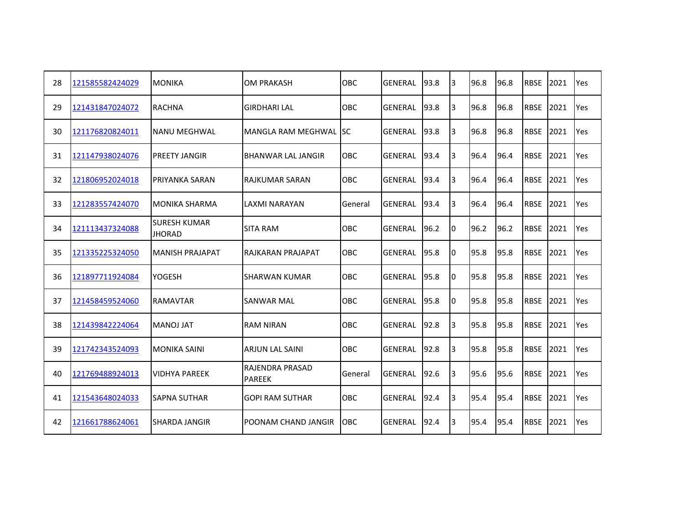| 28 | 121585582424029 | <b>MONIKA</b>                        | <b>OM PRAKASH</b>                | <b>OBC</b> | <b>GENERAL</b> | 93.8 | 3  | 96.8 | 96.8 | <b>RBSE</b> | 2021 | Yes        |
|----|-----------------|--------------------------------------|----------------------------------|------------|----------------|------|----|------|------|-------------|------|------------|
| 29 | 121431847024072 | RACHNA                               | <b>GIRDHARI LAL</b>              | <b>OBC</b> | <b>GENERAL</b> | 93.8 | 3  | 96.8 | 96.8 | <b>RBSE</b> | 2021 | Yes        |
| 30 | 121176820824011 | INANU MEGHWAL                        | lMANGLA RAM MEGHWAL              | Isc        | <b>GENERAL</b> | 93.8 | 3  | 96.8 | 96.8 | <b>RBSE</b> | 2021 | Yes        |
| 31 | 121147938024076 | <b>PREETY JANGIR</b>                 | <b>BHANWAR LAL JANGIR</b>        | <b>OBC</b> | <b>GENERAL</b> | 93.4 | 3  | 96.4 | 96.4 | <b>RBSE</b> | 2021 | Yes        |
| 32 | 121806952024018 | <b>PRIYANKA SARAN</b>                | <b>RAJKUMAR SARAN</b>            | <b>OBC</b> | GENERAL        | 93.4 | 3  | 96.4 | 96.4 | <b>RBSE</b> | 2021 | Yes        |
| 33 | 121283557424070 | MONIKA SHARMA                        | LAXMI NARAYAN                    | General    | <b>GENERAL</b> | 93.4 | 13 | 96.4 | 96.4 | <b>RBSE</b> | 2021 | Yes        |
| 34 | 121113437324088 | <b>SURESH KUMAR</b><br><b>JHORAD</b> | <b>SITA RAM</b>                  | <b>OBC</b> | <b>GENERAL</b> | 96.2 | 10 | 96.2 | 96.2 | <b>RBSE</b> | 2021 | Yes        |
| 35 | 121335225324050 | <b>MANISH PRAJAPAT</b>               | RAJKARAN PRAJAPAT                | <b>OBC</b> | <b>GENERAL</b> | 95.8 | I0 | 95.8 | 95.8 | <b>RBSE</b> | 2021 | Yes        |
| 36 | 121897711924084 | <b>YOGESH</b>                        | <b>SHARWAN KUMAR</b>             | <b>OBC</b> | GENERAL        | 95.8 | Iо | 95.8 | 95.8 | <b>RBSE</b> | 2021 | Yes        |
| 37 | 121458459524060 | <b>RAMAVTAR</b>                      | <b>SANWAR MAL</b>                | <b>OBC</b> | <b>GENERAL</b> | 95.8 | Iо | 95.8 | 95.8 | <b>RBSE</b> | 2021 | Yes        |
| 38 | 121439842224064 | <b>MANOJ JAT</b>                     | <b>RAM NIRAN</b>                 | <b>OBC</b> | <b>GENERAL</b> | 92.8 | l3 | 95.8 | 95.8 | <b>RBSE</b> | 2021 | Yes        |
| 39 | 121742343524093 | <b>MONIKA SAINI</b>                  | <b>ARJUN LAL SAINI</b>           | <b>OBC</b> | <b>GENERAL</b> | 92.8 | 3  | 95.8 | 95.8 | <b>RBSE</b> | 2021 | Yes        |
| 40 | 121769488924013 | <b>VIDHYA PAREEK</b>                 | RAJENDRA PRASAD<br><b>PAREEK</b> | General    | <b>GENERAL</b> | 92.6 | 3  | 95.6 | 95.6 | <b>RBSE</b> | 2021 | Yes        |
| 41 | 121543648024033 | <b>SAPNA SUTHAR</b>                  | <b>GOPI RAM SUTHAR</b>           | OBC        | <b>GENERAL</b> | 92.4 | 3  | 95.4 | 95.4 | <b>RBSE</b> | 2021 | Yes        |
| 42 | 121661788624061 | ISHARDA JANGIR                       | POONAM CHAND JANGIR              | OBC.       | <b>GENERAL</b> | 92.4 | l3 | 95.4 | 95.4 | <b>RBSE</b> | 2021 | <b>Yes</b> |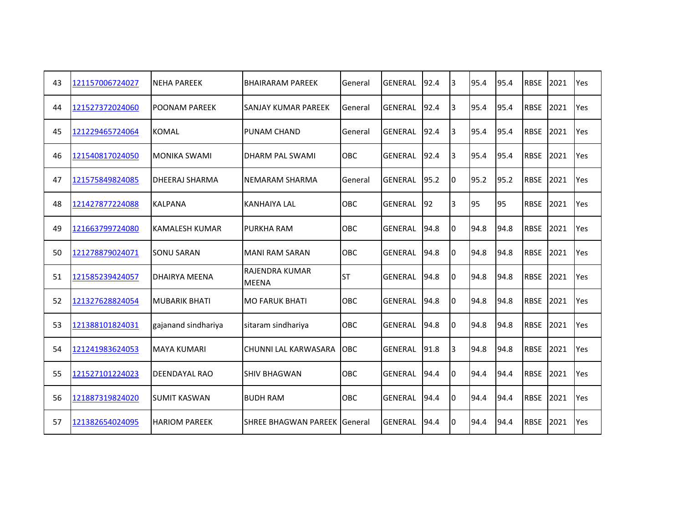| 43 | 121157006724027 | <b>NEHA PAREEK</b>   | <b>BHAIRARAM PAREEK</b>               | General    | <b>GENERAL</b> | 92.4 | 3  | 95.4 | 95.4 | <b>RBSE</b> | 2021 | Yes        |
|----|-----------------|----------------------|---------------------------------------|------------|----------------|------|----|------|------|-------------|------|------------|
| 44 | 121527372024060 | <b>POONAM PAREEK</b> | <b>SANJAY KUMAR PAREEK</b>            | General    | <b>GENERAL</b> | 92.4 | 3  | 95.4 | 95.4 | <b>RBSE</b> | 2021 | Yes        |
| 45 | 121229465724064 | <b>KOMAL</b>         | <b>PUNAM CHAND</b>                    | General    | <b>GENERAL</b> | 92.4 | 3  | 95.4 | 95.4 | <b>RBSE</b> | 2021 | Yes        |
| 46 | 121540817024050 | <b>MONIKA SWAMI</b>  | DHARM PAL SWAMI                       | OBC.       | <b>GENERAL</b> | 92.4 | 3  | 95.4 | 95.4 | <b>RBSE</b> | 2021 | <b>Yes</b> |
| 47 | 121575849824085 | DHEERAJ SHARMA       | <b>NEMARAM SHARMA</b>                 | General    | <b>GENERAL</b> | 95.2 | 10 | 95.2 | 95.2 | <b>RBSE</b> | 2021 | Yes        |
| 48 | 121427877224088 | <b>KALPANA</b>       | <b>KANHAIYA LAL</b>                   | OBC        | <b>GENERAL</b> | 92   | 3  | 95   | 95   | <b>RBSE</b> | 2021 | Yes        |
| 49 | 121663799724080 | KAMALESH KUMAR       | <b>PURKHA RAM</b>                     | <b>OBC</b> | <b>GENERAL</b> | 94.8 | I0 | 94.8 | 94.8 | <b>RBSE</b> | 2021 | Yes        |
| 50 | 121278879024071 | <b>SONU SARAN</b>    | <b>MANI RAM SARAN</b>                 | <b>OBC</b> | <b>GENERAL</b> | 94.8 | 10 | 94.8 | 94.8 | <b>RBSE</b> | 2021 | Yes        |
| 51 | 121585239424057 | DHAIRYA MEENA        | <b>RAJENDRA KUMAR</b><br><b>MEENA</b> | <b>ST</b>  | <b>GENERAL</b> | 94.8 | Iо | 94.8 | 94.8 | <b>RBSE</b> | 2021 | Yes        |
| 52 | 121327628824054 | <b>MUBARIK BHATI</b> | <b>MO FARUK BHATI</b>                 | OBC        | <b>GENERAL</b> | 94.8 | I0 | 94.8 | 94.8 | <b>RBSE</b> | 2021 | Yes        |
| 53 | 121388101824031 | gajanand sindhariya  | sitaram sindhariya                    | OBC        | <b>GENERAL</b> | 94.8 | Iо | 94.8 | 94.8 | <b>RBSE</b> | 2021 | Yes        |
| 54 | 121241983624053 | <b>MAYA KUMARI</b>   | CHUNNI LAL KARWASARA                  | <b>OBC</b> | <b>GENERAL</b> | 91.8 | 3  | 94.8 | 94.8 | <b>RBSE</b> | 2021 | Yes        |
| 55 | 121527101224023 | <b>DEENDAYAL RAO</b> | <b>SHIV BHAGWAN</b>                   | OBC        | <b>GENERAL</b> | 94.4 | Iо | 94.4 | 94.4 | <b>RBSE</b> | 2021 | Yes        |
| 56 | 121887319824020 | <b>SUMIT KASWAN</b>  | <b>BUDH RAM</b>                       | OBC        | <b>GENERAL</b> | 94.4 | Iо | 94.4 | 94.4 | <b>RBSE</b> | 2021 | Yes        |
| 57 | 121382654024095 | <b>HARIOM PAREEK</b> | <b>SHREE BHAGWAN PAREEK General</b>   |            | <b>GENERAL</b> | 94.4 | I0 | 94.4 | 94.4 | <b>RBSE</b> | 2021 | Yes        |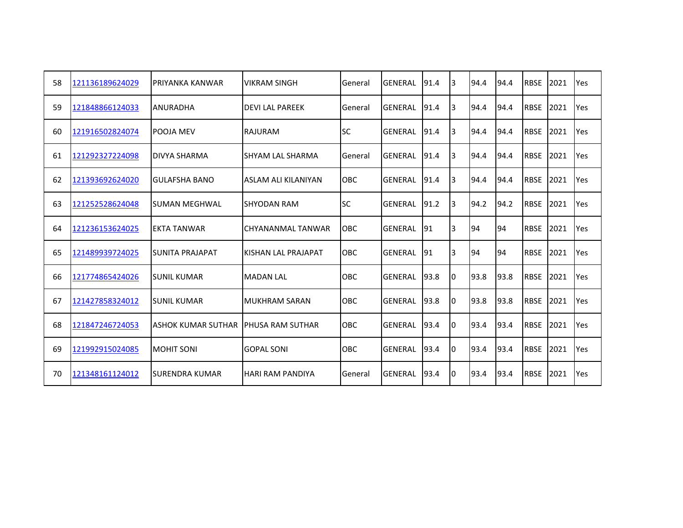| 58 | 121136189624029 | <b>PRIYANKA KANWAR</b>    | <b>VIKRAM SINGH</b>      | General    | GENERAL        | 91.4 | 3  | 94.4 | 94.4 | <b>RBSE</b> | 2021 | Yes |
|----|-----------------|---------------------------|--------------------------|------------|----------------|------|----|------|------|-------------|------|-----|
| 59 | 121848866124033 | <b>ANURADHA</b>           | <b>DEVILAL PAREEK</b>    | General    | GENERAL        | 91.4 | l3 | 94.4 | 94.4 | <b>RBSE</b> | 2021 | Yes |
| 60 | 121916502824074 | <b>POOJA MEV</b>          | RAJURAM                  | <b>SC</b>  | <b>GENERAL</b> | 91.4 | l3 | 94.4 | 94.4 | <b>RBSE</b> | 2021 | Yes |
| 61 | 121292327224098 | DIVYA SHARMA              | <b>SHYAM LAL SHARMA</b>  | General    | <b>GENERAL</b> | 91.4 | I3 | 94.4 | 94.4 | <b>RBSE</b> | 2021 | Yes |
| 62 | 121393692624020 | <b>GULAFSHA BANO</b>      | ASLAM ALI KILANIYAN      | <b>OBC</b> | <b>GENERAL</b> | 91.4 | IЗ | 94.4 | 94.4 | <b>RBSE</b> | 2021 | Yes |
| 63 | 121252528624048 | ISUMAN MEGHWAL            | <b>SHYODAN RAM</b>       | <b>SC</b>  | <b>GENERAL</b> | 91.2 | l3 | 94.2 | 94.2 | <b>RBSE</b> | 2021 | Yes |
| 64 | 121236153624025 | IEKTA TANWAR              | CHYANANMAL TANWAR        | <b>OBC</b> | <b>GENERAL</b> | 91   | IЗ | 94   | 94   | <b>RBSE</b> | 2021 | Yes |
| 65 | 121489939724025 | ISUNITA PRAJAPAT          | IKISHAN LAL PRAJAPAT     | <b>OBC</b> | lgeneral       | 91   | IЗ | 94   | 94   | <b>RBSE</b> | 2021 | Yes |
| 66 | 121774865424026 | ISUNIL KUMAR              | <b>MADAN LAL</b>         | <b>OBC</b> | <b>GENERAL</b> | 93.8 | I0 | 93.8 | 93.8 | <b>RBSE</b> | 2021 | Yes |
| 67 | 121427858324012 | <b>SUNIL KUMAR</b>        | MUKHRAM SARAN            | <b>OBC</b> | GENERAL        | 93.8 | 10 | 93.8 | 93.8 | <b>RBSE</b> | 2021 | Yes |
| 68 | 121847246724053 | <b>ASHOK KUMAR SUTHAR</b> | <b>IPHUSA RAM SUTHAR</b> | <b>OBC</b> | GENERAL        | 93.4 | 10 | 93.4 | 93.4 | <b>RBSE</b> | 2021 | Yes |
| 69 | 121992915024085 | <b>MOHIT SONI</b>         | <b>GOPAL SONI</b>        | <b>OBC</b> | GENERAL        | 93.4 | 10 | 93.4 | 93.4 | <b>RBSE</b> | 2021 | Yes |
| 70 | 121348161124012 | ISURENDRA KUMAR           | <b>HARI RAM PANDIYA</b>  | General    | GENERAL        | 93.4 | 10 | 93.4 | 93.4 | <b>RBSE</b> | 2021 | Yes |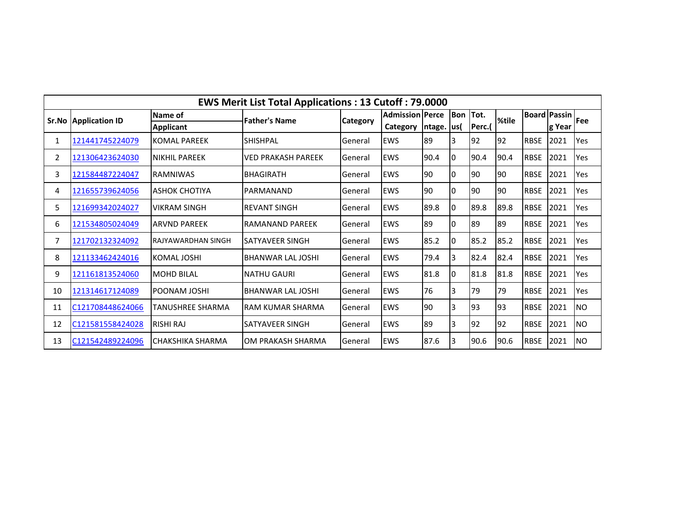| <b>EWS Merit List Total Applications: 13 Cutoff: 79.0000</b> |                             |                      |                          |          |                        |             |     |        |       |             |                     |           |
|--------------------------------------------------------------|-----------------------------|----------------------|--------------------------|----------|------------------------|-------------|-----|--------|-------|-------------|---------------------|-----------|
|                                                              | <b>Sr.No Application ID</b> | Name of              | <b>Father's Name</b>     | Category | <b>Admission Perce</b> |             | Bon | Tot.   | %tile |             | <b>Board Passin</b> | Fee       |
|                                                              |                             | <b>Applicant</b>     |                          |          | Category               | ntage.  us( |     | Perc.( |       |             | g Year              |           |
| 1                                                            | 121441745224079             | KOMAL PAREEK         | <b>SHISHPAL</b>          | General  | <b>EWS</b>             | 89          | 3   | 92     | 92    | <b>RBSE</b> | 2021                | Yes       |
| 2                                                            | 121306423624030             | <b>NIKHIL PAREEK</b> | VED PRAKASH PAREEK       | General  | <b>EWS</b>             | 90.4        | I0  | 90.4   | 90.4  | <b>RBSE</b> | 2021                | Yes       |
| 3                                                            | 121584487224047             | <b>RAMNIWAS</b>      | <b>BHAGIRATH</b>         | General  | <b>EWS</b>             | 90          | I0  | 90     | 90    | <b>RBSE</b> | 2021                | Yes       |
| 4                                                            | 121655739624056             | ASHOK CHOTIYA        | <b>PARMANAND</b>         | General  | <b>EWS</b>             | 90          | I0  | 90     | 90    | <b>RBSE</b> | 2021                | Yes       |
| 5.                                                           | 121699342024027             | <b>VIKRAM SINGH</b>  | <b>REVANT SINGH</b>      | General  | <b>EWS</b>             | 89.8        | 0   | 89.8   | 89.8  | <b>RBSE</b> | 2021                | Yes       |
| 6                                                            | 121534805024049             | ARVND PAREEK         | <b>RAMANAND PAREEK</b>   | General  | <b>EWS</b>             | 89          | I٥  | 89     | 89    | <b>RBSE</b> | 2021                | Yes       |
| 7                                                            | 121702132324092             | IRAJYAWARDHAN SINGH  | SATYAVEER SINGH          | General  | <b>EWS</b>             | 85.2        | 0   | 85.2   | 85.2  | <b>RBSE</b> | 2021                | Yes       |
| 8                                                            | 121133462424016             | <b>KOMAL JOSHI</b>   | <b>BHANWAR LAL JOSHI</b> | General  | <b>EWS</b>             | 79.4        | 3   | 82.4   | 82.4  | <b>RBSE</b> | 2021                | Yes       |
| 9                                                            | 121161813524060             | <b>MOHD BILAL</b>    | <b>NATHU GAURI</b>       | General  | <b>EWS</b>             | 81.8        | I0  | 81.8   | 81.8  | <b>RBSE</b> | 2021                | Yes       |
| 10                                                           | 121314617124089             | <b>POONAM JOSHI</b>  | <b>BHANWAR LAL JOSHI</b> | General  | <b>EWS</b>             | 76          | 3   | 79     | 79    | <b>RBSE</b> | 2021                | Yes       |
| 11                                                           | C121708448624066            | TANUSHREE SHARMA     | IRAM KUMAR SHARMA        | General  | <b>EWS</b>             | 90          | 3   | 93     | 93    | <b>RBSE</b> | 2021                | NO.       |
| 12                                                           | C121581558424028            | RISHI RAJ            | <b>SATYAVEER SINGH</b>   | General  | EWS                    | 89          | IЗ  | 92     | 92    | <b>RBSE</b> | 2021                | <b>NO</b> |
| 13                                                           | C121542489224096            | CHAKSHIKA SHARMA     | OM PRAKASH SHARMA        | General  | <b>EWS</b>             | 87.6        | IЗ  | 90.6   | 90.6  | <b>RBSE</b> | 2021                | <b>NO</b> |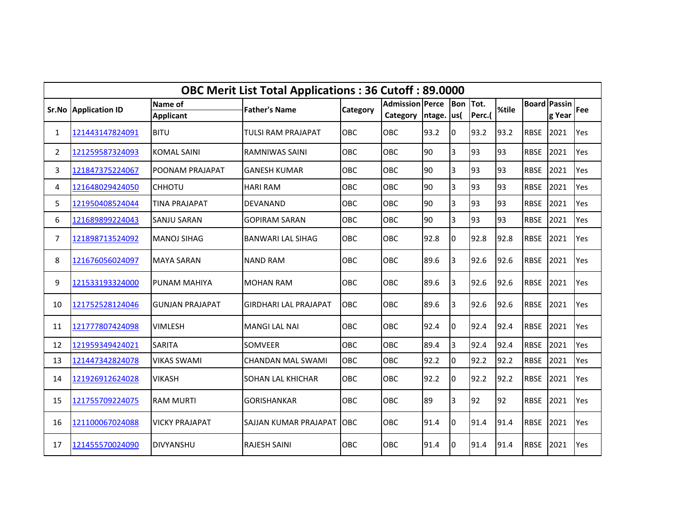|                | <b>OBC Merit List Total Applications: 36 Cutoff: 89.0000</b><br><b>Board Passin</b><br><b>Admission Perce</b> |                             |                              |            |          |        |             |                |       |             |        |     |  |
|----------------|---------------------------------------------------------------------------------------------------------------|-----------------------------|------------------------------|------------|----------|--------|-------------|----------------|-------|-------------|--------|-----|--|
|                | Sr.No Application ID                                                                                          | Name of<br><b>Applicant</b> | <b>Father's Name</b>         | Category   | Category | ntage. | Bon<br>lus( | Tot.<br>Perc.( | %tile |             | g Year | Fee |  |
| $\mathbf{1}$   | 121443147824091                                                                                               | <b>BITU</b>                 | TULSI RAM PRAJAPAT           | <b>OBC</b> | OBC      | 93.2   | 0           | 93.2           | 93.2  | <b>RBSE</b> | 2021   | Yes |  |
| $\mathbf{2}$   | 121259587324093                                                                                               | <b>KOMAL SAINI</b>          | <b>RAMNIWAS SAINI</b>        | <b>OBC</b> | OBC      | 90     | 3           | 93             | 93    | <b>RBSE</b> | 2021   | Yes |  |
| 3              | 121847375224067                                                                                               | POONAM PRAJAPAT             | <b>GANESH KUMAR</b>          | <b>OBC</b> | OBC      | 90     | 3           | 93             | 93    | <b>RBSE</b> | 2021   | Yes |  |
| 4              | 121648029424050                                                                                               | <b>CHHOTU</b>               | <b>HARI RAM</b>              | OBC        | OBC      | 90     | 3           | 93             | 93    | <b>RBSE</b> | 2021   | Yes |  |
| 5.             | 121950408524044                                                                                               | <b>TINA PRAJAPAT</b>        | DEVANAND                     | <b>OBC</b> | OBC      | 90     | 3           | 93             | 93    | <b>RBSE</b> | 2021   | Yes |  |
| 6              | 121689899224043                                                                                               | SANJU SARAN                 | <b>GOPIRAM SARAN</b>         | OBC        | OBC      | 90     | 3           | 93             | 93    | <b>RBSE</b> | 2021   | Yes |  |
| $\overline{7}$ | 121898713524092                                                                                               | <b>MANOJ SIHAG</b>          | <b>BANWARI LAL SIHAG</b>     | <b>OBC</b> | OBC      | 92.8   | 0           | 92.8           | 92.8  | <b>RBSE</b> | 2021   | Yes |  |
| 8              | 121676056024097                                                                                               | <b>MAYA SARAN</b>           | <b>NAND RAM</b>              | OBC        | OBC      | 89.6   | 3           | 92.6           | 92.6  | <b>RBSE</b> | 2021   | Yes |  |
| 9              | 121533193324000                                                                                               | PUNAM MAHIYA                | <b>MOHAN RAM</b>             | OBC.       | OBC      | 89.6   | 3           | 92.6           | 92.6  | <b>RBSE</b> | 2021   | Yes |  |
| 10             | 121752528124046                                                                                               | <b>GUNJAN PRAJAPAT</b>      | <b>GIRDHARI LAL PRAJAPAT</b> | <b>OBC</b> | OBC      | 89.6   | 3           | 92.6           | 92.6  | <b>RBSE</b> | 2021   | Yes |  |
| 11             | 121777807424098                                                                                               | <b>VIMLESH</b>              | <b>MANGI LAL NAI</b>         | <b>OBC</b> | OBC      | 92.4   | 0           | 92.4           | 92.4  | <b>RBSE</b> | 2021   | Yes |  |
| 12             | 121959349424021                                                                                               | <b>SARITA</b>               | <b>SOMVEER</b>               | <b>OBC</b> | OBC      | 89.4   | 3           | 92.4           | 92.4  | <b>RBSE</b> | 2021   | Yes |  |
| 13             | 121447342824078                                                                                               | <b>VIKAS SWAMI</b>          | <b>CHANDAN MAL SWAMI</b>     | OBC        | OBC      | 92.2   | 0           | 92.2           | 92.2  | <b>RBSE</b> | 2021   | Yes |  |
| 14             | 121926912624028                                                                                               | <b>VIKASH</b>               | <b>SOHAN LAL KHICHAR</b>     | <b>OBC</b> | OBC      | 92.2   | 0           | 92.2           | 92.2  | <b>RBSE</b> | 2021   | Yes |  |
| 15             | 121755709224075                                                                                               | <b>RAM MURTI</b>            | <b>GORISHANKAR</b>           | <b>OBC</b> | OBC      | 89     | 3           | 92             | 92    | <b>RBSE</b> | 2021   | Yes |  |
| 16             | 121100067024088                                                                                               | <b>VICKY PRAJAPAT</b>       | <b>SAJJAN KUMAR PRAJAPAT</b> | <b>OBC</b> | OBC      | 91.4   | 0           | 91.4           | 91.4  | <b>RBSE</b> | 2021   | Yes |  |
| 17             | 121455570024090                                                                                               | <b>DIVYANSHU</b>            | <b>RAJESH SAINI</b>          | OBC        | OBC      | 91.4   | 0           | 91.4           | 91.4  | <b>RBSE</b> | 2021   | Yes |  |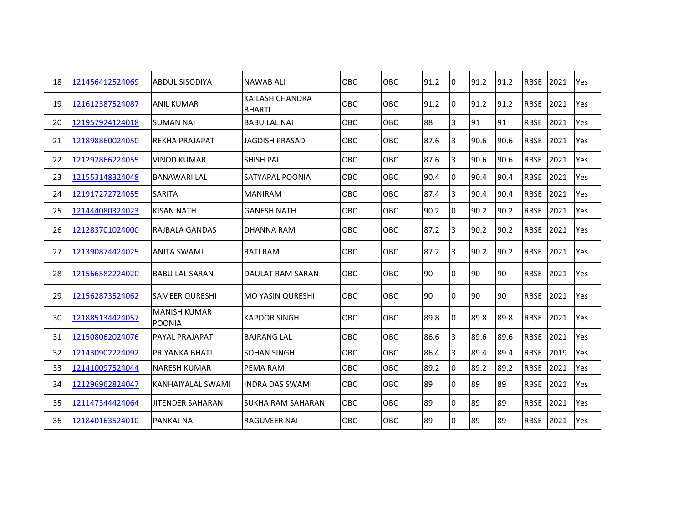| 18 | 121456412524069 | <b>ABDUL SISODIYA</b>                | NAWAB ALI                               | <b>OBC</b> | OBC        | 91.2 | I0 | 91.2 | 91.2 | <b>RBSE</b> | 2021 | Yes |
|----|-----------------|--------------------------------------|-----------------------------------------|------------|------------|------|----|------|------|-------------|------|-----|
| 19 | 121612387524087 | <b>ANIL KUMAR</b>                    | <b>KAILASH CHANDRA</b><br><b>BHARTI</b> | <b>OBC</b> | OBC        | 91.2 | Iо | 91.2 | 91.2 | <b>RBSE</b> | 2021 | Yes |
| 20 | 121957924124018 | <b>SUMAN NAI</b>                     | <b>BABU LAL NAI</b>                     | <b>OBC</b> | OBC        | 88   | 3  | 91   | 91   | <b>RBSE</b> | 2021 | Yes |
| 21 | 121898860024050 | <b>REKHA PRAJAPAT</b>                | <b>JAGDISH PRASAD</b>                   | <b>OBC</b> | OBC        | 87.6 | 3  | 90.6 | 90.6 | <b>RBSE</b> | 2021 | Yes |
| 22 | 121292866224055 | <b>VINOD KUMAR</b>                   | SHISH PAL                               | OBC        | OBC        | 87.6 | 3  | 90.6 | 90.6 | <b>RBSE</b> | 2021 | Yes |
| 23 | 121553148324048 | <b>BANAWARI LAL</b>                  | SATYAPAL POONIA                         | <b>OBC</b> | <b>OBC</b> | 90.4 | 10 | 90.4 | 90.4 | <b>RBSE</b> | 2021 | Yes |
| 24 | 121917272724055 | <b>SARITA</b>                        | <b>MANIRAM</b>                          | <b>OBC</b> | OBC        | 87.4 | 3  | 90.4 | 90.4 | <b>RBSE</b> | 2021 | Yes |
| 25 | 121444080324023 | <b>KISAN NATH</b>                    | <b>GANESH NATH</b>                      | OBC        | OBC        | 90.2 | 10 | 90.2 | 90.2 | <b>RBSE</b> | 2021 | Yes |
| 26 | 121283701024000 | RAJBALA GANDAS                       | <b>DHANNA RAM</b>                       | <b>OBC</b> | <b>OBC</b> | 87.2 | 3  | 90.2 | 90.2 | <b>RBSE</b> | 2021 | Yes |
| 27 | 121390874424025 | <b>ANITA SWAMI</b>                   | <b>RATI RAM</b>                         | OBC.       | OBC        | 87.2 | 3  | 90.2 | 90.2 | <b>RBSE</b> | 2021 | Yes |
| 28 | 121566582224020 | <b>BABU LAL SARAN</b>                | DAULAT RAM SARAN                        | <b>OBC</b> | OBC        | 90   | 10 | 90   | 90   | <b>RBSE</b> | 2021 | Yes |
| 29 | 121562873524062 | <b>SAMEER QURESHI</b>                | <b>MO YASIN QURESHI</b>                 | <b>OBC</b> | OBC        | 90   | Iо | 90   | 90   | <b>RBSE</b> | 2021 | Yes |
| 30 | 121885134424057 | <b>MANISH KUMAR</b><br><b>POONIA</b> | <b>KAPOOR SINGH</b>                     | <b>OBC</b> | <b>OBC</b> | 89.8 | I0 | 89.8 | 89.8 | <b>RBSE</b> | 2021 | Yes |
| 31 | 121508062024076 | PAYAL PRAJAPAT                       | <b>BAJRANG LAL</b>                      | OBC        | OBC        | 86.6 | 3  | 89.6 | 89.6 | <b>RBSE</b> | 2021 | Yes |
| 32 | 121430902224092 | PRIYANKA BHATI                       | <b>SOHAN SINGH</b>                      | OBC        | OBC        | 86.4 | 3  | 89.4 | 89.4 | <b>RBSE</b> | 2019 | Yes |
| 33 | 121410097524044 | <b>NARESH KUMAR</b>                  | PEMA RAM                                | OBC        | OBC        | 89.2 | 0  | 89.2 | 89.2 | <b>RBSE</b> | 2021 | Yes |
| 34 | 121296962824047 | KANHAIYALAL SWAMI                    | <b>INDRA DAS SWAMI</b>                  | <b>OBC</b> | OBC        | 89   | 0  | 89   | 89   | <b>RBSE</b> | 2021 | Yes |
| 35 | 121147344424064 | <b>JITENDER SAHARAN</b>              | <b>SUKHA RAM SAHARAN</b>                | OBC.       | <b>OBC</b> | 89   | 0  | 89   | 89   | <b>RBSE</b> | 2021 | Yes |
| 36 | 121840163524010 | <b>PANKAJ NAI</b>                    | <b>RAGUVEER NAI</b>                     | OBC        | OBC        | 89   | l0 | 89   | 89   | <b>RBSE</b> | 2021 | Yes |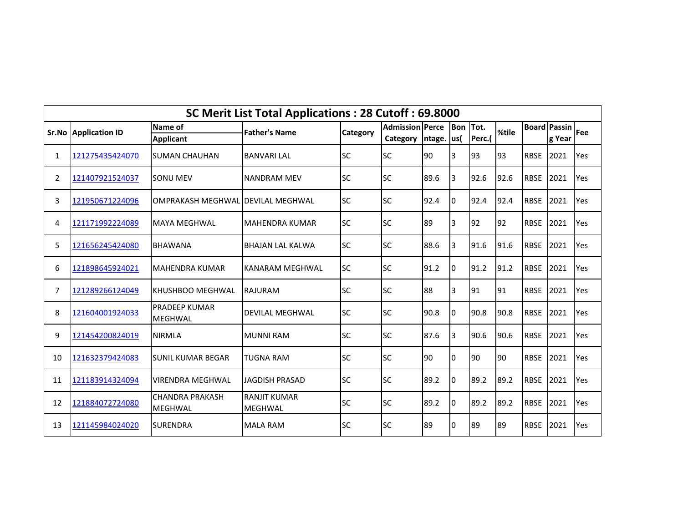|                | SC Merit List Total Applications: 28 Cutoff: 69.8000<br><b>Bon</b> Tot.<br><b>Board Passin</b> |                                          |                                       |           |                        |              |                |        |       |             |        |     |  |  |
|----------------|------------------------------------------------------------------------------------------------|------------------------------------------|---------------------------------------|-----------|------------------------|--------------|----------------|--------|-------|-------------|--------|-----|--|--|
|                | <b>Sr.No Application ID</b>                                                                    | Name of                                  | <b>Father's Name</b>                  | Category  | <b>Admission Perce</b> |              |                |        | %tile |             |        | Fee |  |  |
|                |                                                                                                | <b>Applicant</b>                         |                                       |           | Category               | Intage.  us( |                | Perc.( |       |             | g Year |     |  |  |
| 1              | 121275435424070                                                                                | <b>SUMAN CHAUHAN</b>                     | <b>BANVARI LAL</b>                    | <b>SC</b> | <b>SC</b>              | 90           | 3              | 93     | 93    | <b>RBSE</b> | 2021   | Yes |  |  |
| $\overline{2}$ | 121407921524037                                                                                | <b>SONU MEV</b>                          | <b>NANDRAM MEV</b>                    | <b>SC</b> | <b>SC</b>              | 89.6         | 3              | 92.6   | 92.6  | <b>RBSE</b> | 2021   | Yes |  |  |
| 3              | 121950671224096                                                                                | <b>OMPRAKASH MEGHWAL</b>                 | <b>IDEVILAL MEGHWAL</b>               | <b>SC</b> | <b>SC</b>              | 92.4         | I0             | 92.4   | 92.4  | <b>RBSE</b> | 2021   | Yes |  |  |
| 4              | 121171992224089                                                                                | <b>MAYA MEGHWAL</b>                      | MAHENDRA KUMAR                        | <b>SC</b> | <b>SC</b>              | 89           | $\overline{3}$ | 92     | 92    | <b>RBSE</b> | 2021   | Yes |  |  |
| 5              | 121656245424080                                                                                | <b>BHAWANA</b>                           | <b>BHAJAN LAL KALWA</b>               | <b>SC</b> | <b>SC</b>              | 88.6         | 3              | 91.6   | 91.6  | <b>RBSE</b> | 2021   | Yes |  |  |
| 6              | 121898645924021                                                                                | <b>MAHENDRA KUMAR</b>                    | KANARAM MEGHWAL                       | <b>SC</b> | <b>SC</b>              | 91.2         | 10             | 91.2   | 91.2  | <b>RBSE</b> | 2021   | Yes |  |  |
| 7              | 121289266124049                                                                                | <b>KHUSHBOO MEGHWAL</b>                  | <b>RAJURAM</b>                        | <b>SC</b> | <b>SC</b>              | 88           | 3              | 91     | 91    | <b>RBSE</b> | 2021   | Yes |  |  |
| 8              | 121604001924033                                                                                | <b>PRADEEP KUMAR</b><br><b>MEGHWAL</b>   | <b>DEVILAL MEGHWAL</b>                | <b>SC</b> | <b>SC</b>              | 90.8         | 0              | 90.8   | 90.8  | <b>RBSE</b> | 2021   | Yes |  |  |
| 9              | 121454200824019                                                                                | <b>NIRMLA</b>                            | <b>MUNNI RAM</b>                      | <b>SC</b> | <b>SC</b>              | 87.6         | 3              | 90.6   | 90.6  | <b>RBSE</b> | 2021   | Yes |  |  |
| 10             | 121632379424083                                                                                | <b>SUNIL KUMAR BEGAR</b>                 | <b>TUGNA RAM</b>                      | <b>SC</b> | <b>SC</b>              | 90           | l0             | 90     | 90    | <b>RBSE</b> | 2021   | Yes |  |  |
| 11             | 121183914324094                                                                                | <b>VIRENDRA MEGHWAL</b>                  | <b>JAGDISH PRASAD</b>                 | <b>SC</b> | <b>SC</b>              | 89.2         | 0              | 89.2   | 89.2  | <b>RBSE</b> | 2021   | Yes |  |  |
| 12             | 121884072724080                                                                                | <b>CHANDRA PRAKASH</b><br><b>MEGHWAL</b> | <b>RANJIT KUMAR</b><br><b>MEGHWAL</b> | <b>SC</b> | <b>SC</b>              | 89.2         | 0              | 89.2   | 89.2  | <b>RBSE</b> | 2021   | Yes |  |  |
| 13             | 121145984024020                                                                                | <b>SURENDRA</b>                          | <b>MALA RAM</b>                       | <b>SC</b> | <b>SC</b>              | 89           | 0              | 89     | 89    | <b>RBSE</b> | 2021   | Yes |  |  |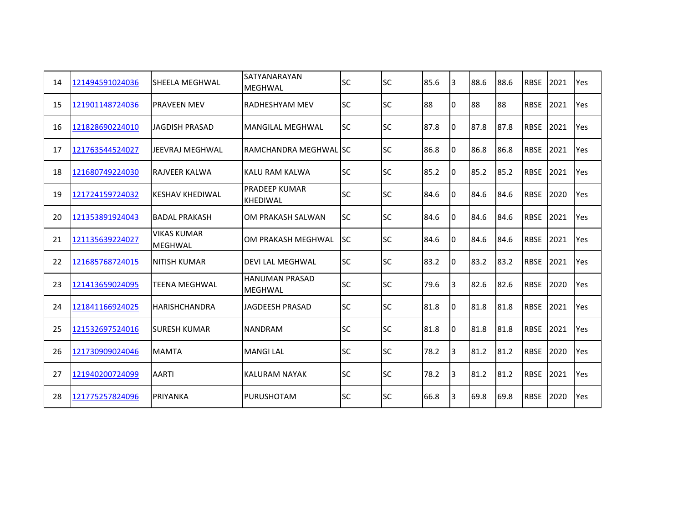| 14 | 121494591024036 | lSHEELA MEGHWAL                      | SATYANARAYAN<br><b>MEGHWAL</b>          | <b>SC</b> | <b>SC</b> | 85.6 | 3  | 88.6 | 88.6 | <b>RBSE</b> | 2021 | Yes |
|----|-----------------|--------------------------------------|-----------------------------------------|-----------|-----------|------|----|------|------|-------------|------|-----|
| 15 | 121901148724036 | IPRAVEEN MEV                         | <b>RADHESHYAM MEV</b>                   | <b>SC</b> | <b>SC</b> | 88   | I0 | 88   | 88   | <b>RBSE</b> | 2021 | Yes |
| 16 | 121828690224010 | JAGDISH PRASAD                       | <b>MANGILAL MEGHWAL</b>                 | <b>SC</b> | <b>SC</b> | 87.8 | 10 | 87.8 | 87.8 | <b>RBSE</b> | 2021 | Yes |
| 17 | 121763544524027 | JEEVRAJ MEGHWAL                      | RAMCHANDRA MEGHWALISC                   |           | <b>SC</b> | 86.8 | I0 | 86.8 | 86.8 | <b>RBSE</b> | 2021 | Yes |
| 18 | 121680749224030 | <b>RAJVEER KALWA</b>                 | KALU RAM KALWA                          | <b>SC</b> | <b>SC</b> | 85.2 | 10 | 85.2 | 85.2 | <b>RBSE</b> | 2021 | Yes |
| 19 | 121724159724032 | KESHAV KHEDIWAL                      | PRADEEP KUMAR<br><b>KHEDIWAL</b>        | <b>SC</b> | <b>SC</b> | 84.6 | I0 | 84.6 | 84.6 | <b>RBSE</b> | 2020 | Yes |
| 20 | 121353891924043 | <b>BADAL PRAKASH</b>                 | OM PRAKASH SALWAN                       | <b>SC</b> | <b>SC</b> | 84.6 | 10 | 84.6 | 84.6 | <b>RBSE</b> | 2021 | Yes |
| 21 | 121135639224027 | <b>VIKAS KUMAR</b><br><b>MEGHWAL</b> | OM PRAKASH MEGHWAL                      | <b>SC</b> | <b>SC</b> | 84.6 | I0 | 84.6 | 84.6 | <b>RBSE</b> | 2021 | Yes |
| 22 | 121685768724015 | INITISH KUMAR                        | <b>DEVI LAL MEGHWAL</b>                 | <b>SC</b> | <b>SC</b> | 83.2 | I0 | 83.2 | 83.2 | <b>RBSE</b> | 2021 | Yes |
| 23 | 121413659024095 | <b>TEENA MEGHWAL</b>                 | <b>HANUMAN PRASAD</b><br><b>MEGHWAL</b> | <b>SC</b> | <b>SC</b> | 79.6 | 3  | 82.6 | 82.6 | <b>RBSE</b> | 2020 | Yes |
| 24 | 121841166924025 | <b>HARISHCHANDRA</b>                 | <b>JAGDEESH PRASAD</b>                  | <b>SC</b> | <b>SC</b> | 81.8 | 10 | 81.8 | 81.8 | <b>RBSE</b> | 2021 | Yes |
| 25 | 121532697524016 | ISURESH KUMAR                        | <b>NANDRAM</b>                          | <b>SC</b> | <b>SC</b> | 81.8 | I0 | 81.8 | 81.8 | <b>RBSE</b> | 2021 | Yes |
| 26 | 121730909024046 | <b>MAMTA</b>                         | <b>MANGILAL</b>                         | <b>SC</b> | <b>SC</b> | 78.2 | IЗ | 81.2 | 81.2 | <b>RBSE</b> | 2020 | Yes |
| 27 | 121940200724099 | <b>AARTI</b>                         | <b>KALURAM NAYAK</b>                    | <b>SC</b> | <b>SC</b> | 78.2 | 3  | 81.2 | 81.2 | <b>RBSE</b> | 2021 | Yes |
| 28 | 121775257824096 | <b>PRIYANKA</b>                      | <b>PURUSHOTAM</b>                       | <b>SC</b> | <b>SC</b> | 66.8 | l3 | 69.8 | 69.8 | <b>RBSE</b> | 2020 | Yes |